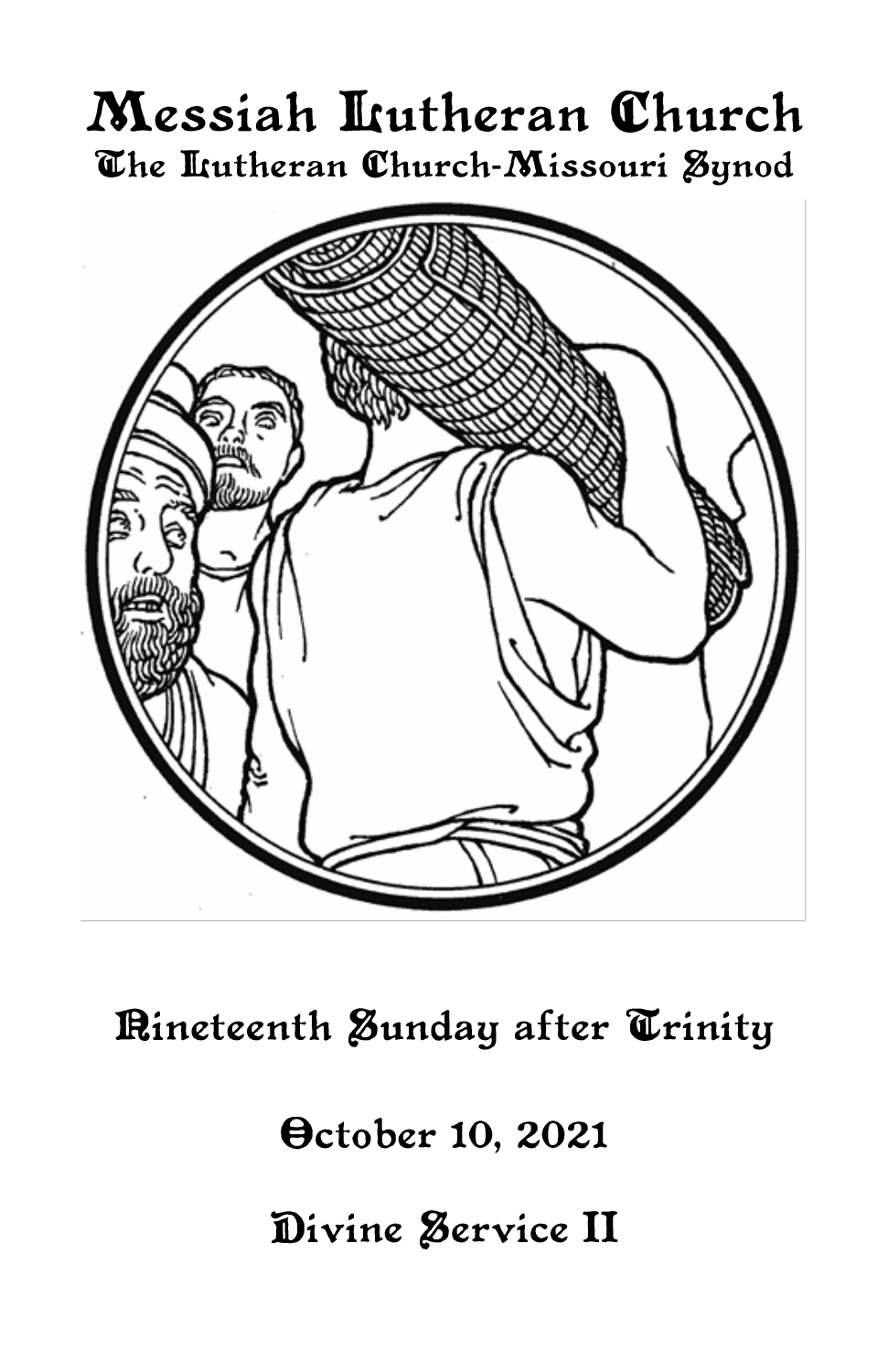# Messiah Lutheran Church The Itutheran Church-Missouri Synod



Rineteenth Sunday after Trinity

**October 10, 2021** 

Divine Service II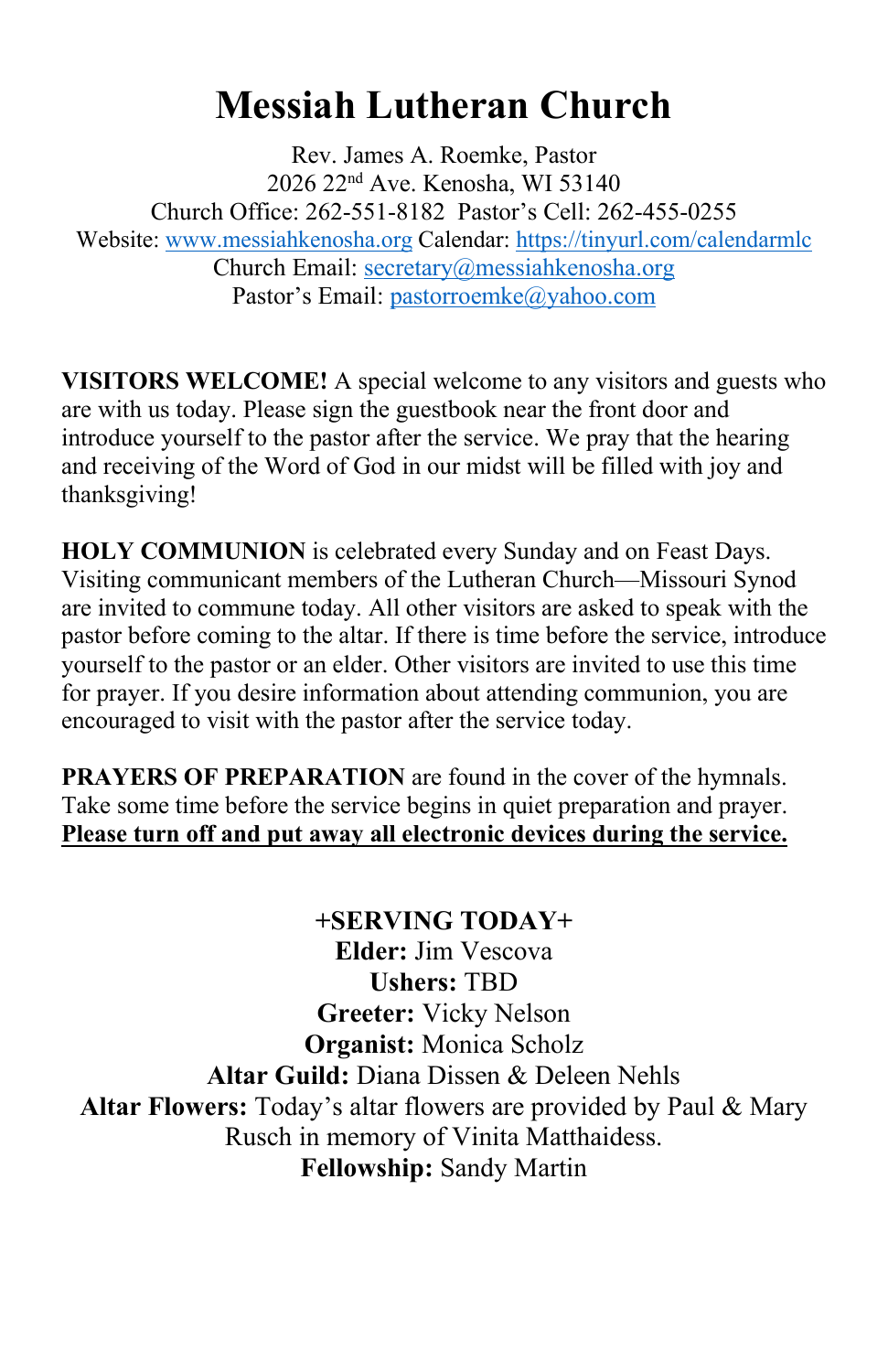# **Messiah Lutheran Church**

Rev. James A. Roemke, Pastor 2026 22nd Ave. Kenosha, WI 53140 Church Office: 262-551-8182 Pastor's Cell: 262-455-0255 Website: [www.messiahkenosha.org](http://www.messiahkenosha.org/) Calendar: <https://tinyurl.com/calendarmlc> Church Email: [secretary@messiahkenosha.org](https://d.docs.live.net/fdeed90a8019e9e6/Documents/2019%20PDF%20Bulletins/secretary@messiahkenosha.org) Pastor's Email: [pastorroemke@yahoo.com](mailto:pastorroemke@yahoo.com)

**VISITORS WELCOME!** A special welcome to any visitors and guests who are with us today. Please sign the guestbook near the front door and introduce yourself to the pastor after the service. We pray that the hearing and receiving of the Word of God in our midst will be filled with joy and thanksgiving!

**HOLY COMMUNION** is celebrated every Sunday and on Feast Days. Visiting communicant members of the Lutheran Church—Missouri Synod are invited to commune today. All other visitors are asked to speak with the pastor before coming to the altar. If there is time before the service, introduce yourself to the pastor or an elder. Other visitors are invited to use this time for prayer. If you desire information about attending communion, you are encouraged to visit with the pastor after the service today.

**PRAYERS OF PREPARATION** are found in the cover of the hymnals. Take some time before the service begins in quiet preparation and prayer. **Please turn off and put away all electronic devices during the service.**

**+SERVING TODAY+ Elder:** Jim Vescova **Ushers:** TBD **Greeter:** Vicky Nelson **Organist:** Monica Scholz **Altar Guild:** Diana Dissen & Deleen Nehls **Altar Flowers:** Today's altar flowers are provided by Paul & Mary Rusch in memory of Vinita Matthaidess. **Fellowship:** Sandy Martin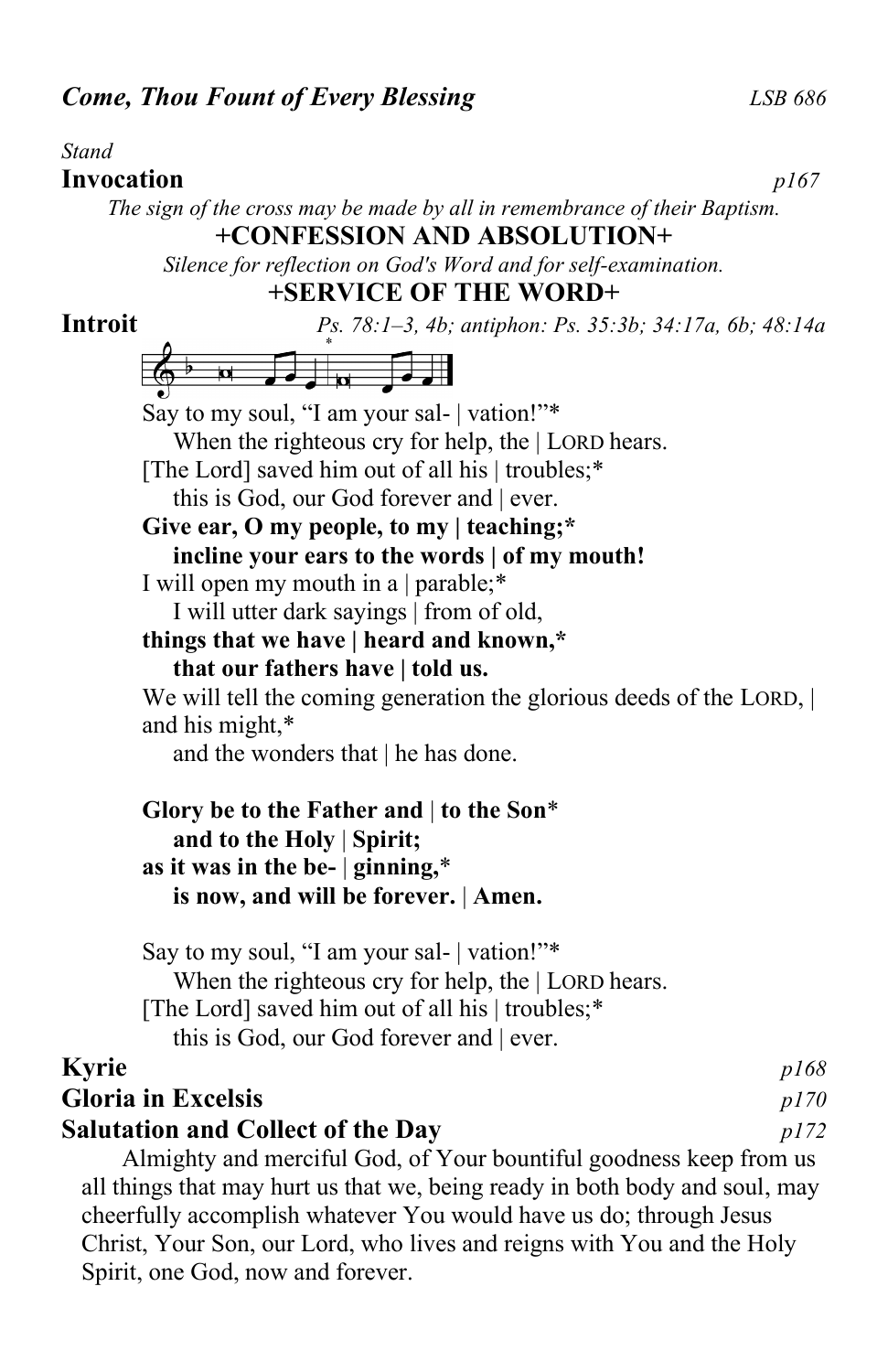#### *Stand*

#### **Invocation** *p167 The sign of the cross may be made by all in remembrance of their Baptism.* **+CONFESSION AND ABSOLUTION+**

*Silence for reflection on God's Word and for self-examination.* **+SERVICE OF THE WORD+**

# **Introit** *Ps. 78:1–3, 4b; antiphon: Ps. 35:3b; 34:17a, 6b; 48:14a*  $\frac{1}{2}$   $\frac{1}{2}$   $\frac{1}{2}$   $\frac{1}{2}$   $\frac{1}{2}$   $\frac{1}{2}$   $\frac{1}{2}$   $\frac{1}{2}$   $\frac{1}{2}$   $\frac{1}{2}$   $\frac{1}{2}$   $\frac{1}{2}$   $\frac{1}{2}$   $\frac{1}{2}$   $\frac{1}{2}$   $\frac{1}{2}$   $\frac{1}{2}$   $\frac{1}{2}$   $\frac{1}{2}$   $\frac{1}{2}$   $\frac{1}{2}$   $\frac{1}{2}$  Say to my soul, "I am your sal- | vation!"\* When the righteous cry for help, the | LORD hears. [The Lord] saved him out of all his | troubles;\* this is God, our God forever and | ever. **Give ear, O my people, to my | teaching;\* incline your ears to the words | of my mouth!** I will open my mouth in a | parable;\* I will utter dark sayings | from of old, **things that we have | heard and known,\* that our fathers have | told us.** We will tell the coming generation the glorious deeds of the LORD,  $\vert$ and his might,\* and the wonders that | he has done. **Glory be to the Father and** | **to the Son**\*  **and to the Holy** | **Spirit; as it was in the be-** | **ginning,**\*  **is now, and will be forever.** | **Amen.**

Say to my soul, "I am your sal- | vation!"\* When the righteous cry for help, the | LORD hears. [The Lord] saved him out of all his | troubles;\* this is God, our God forever and | ever.

## **Kyrie** *p168*

# **Gloria in Excelsis** *p170* **Salutation and Collect of the Day** *p172*

Almighty and merciful God, of Your bountiful goodness keep from us all things that may hurt us that we, being ready in both body and soul, may cheerfully accomplish whatever You would have us do; through Jesus Christ, Your Son, our Lord, who lives and reigns with You and the Holy Spirit, one God, now and forever.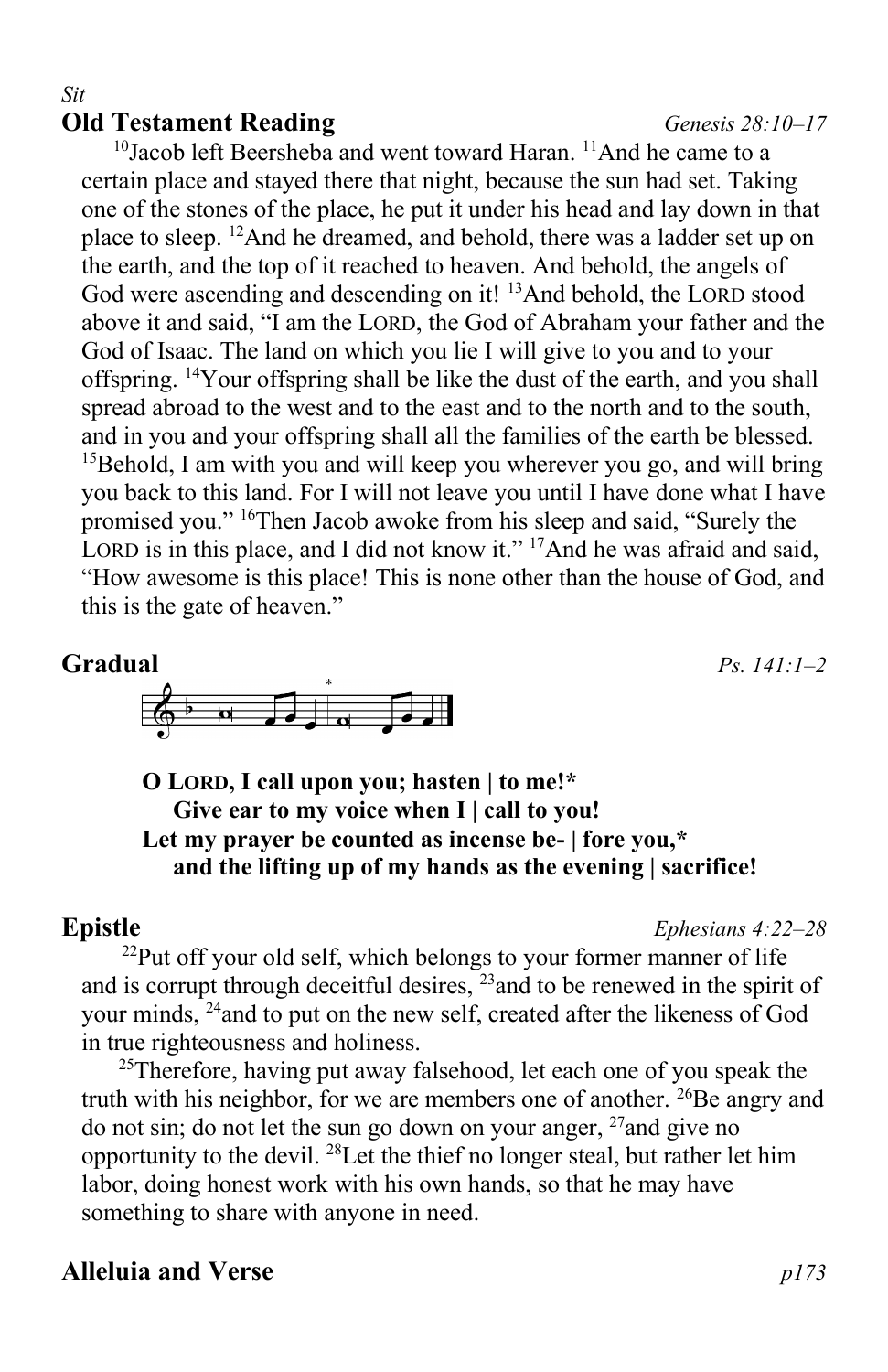# **Old Testament Reading** *Genesis 28:10–17*

*Sit*

<sup>10</sup>Jacob left Beersheba and went toward Haran. <sup>11</sup>And he came to a certain place and stayed there that night, because the sun had set. Taking one of the stones of the place, he put it under his head and lay down in that place to sleep. <sup>12</sup>And he dreamed, and behold, there was a ladder set up on the earth, and the top of it reached to heaven. And behold, the angels of God were ascending and descending on it! <sup>13</sup>And behold, the LORD stood above it and said, "I am the LORD, the God of Abraham your father and the God of Isaac. The land on which you lie I will give to you and to your offspring. <sup>14</sup>Your offspring shall be like the dust of the earth, and you shall spread abroad to the west and to the east and to the north and to the south, and in you and your offspring shall all the families of the earth be blessed.  $15$ Behold, I am with you and will keep you wherever you go, and will bring you back to this land. For I will not leave you until I have done what I have promised you." <sup>16</sup>Then Jacob awoke from his sleep and said, "Surely the LORD is in this place, and I did not know it."  $^{17}$ And he was afraid and said, "How awesome is this place! This is none other than the house of God, and this is the gate of heaven."

## **Gradual** *Ps. 141:1–2*



## **O LORD, I call upon you; hasten | to me!\* Give ear to my voice when I | call to you! Let my prayer be counted as incense be- | fore you,\* and the lifting up of my hands as the evening | sacrifice!**

**Epistle** *Ephesians 4:22–28*

<sup>22</sup>Put off your old self, which belongs to your former manner of life and is corrupt through deceitful desires,  $^{23}$  and to be renewed in the spirit of your minds, <sup>24</sup>and to put on the new self, created after the likeness of God in true righteousness and holiness.

 $25$ Therefore, having put away falsehood, let each one of you speak the truth with his neighbor, for we are members one of another.  $^{26}$ Be angry and do not sin; do not let the sun go down on your anger,  $^{27}$  and give no opportunity to the devil. <sup>28</sup>Let the thief no longer steal, but rather let him labor, doing honest work with his own hands, so that he may have something to share with anyone in need.

# **Alleluia and Verse** *p173*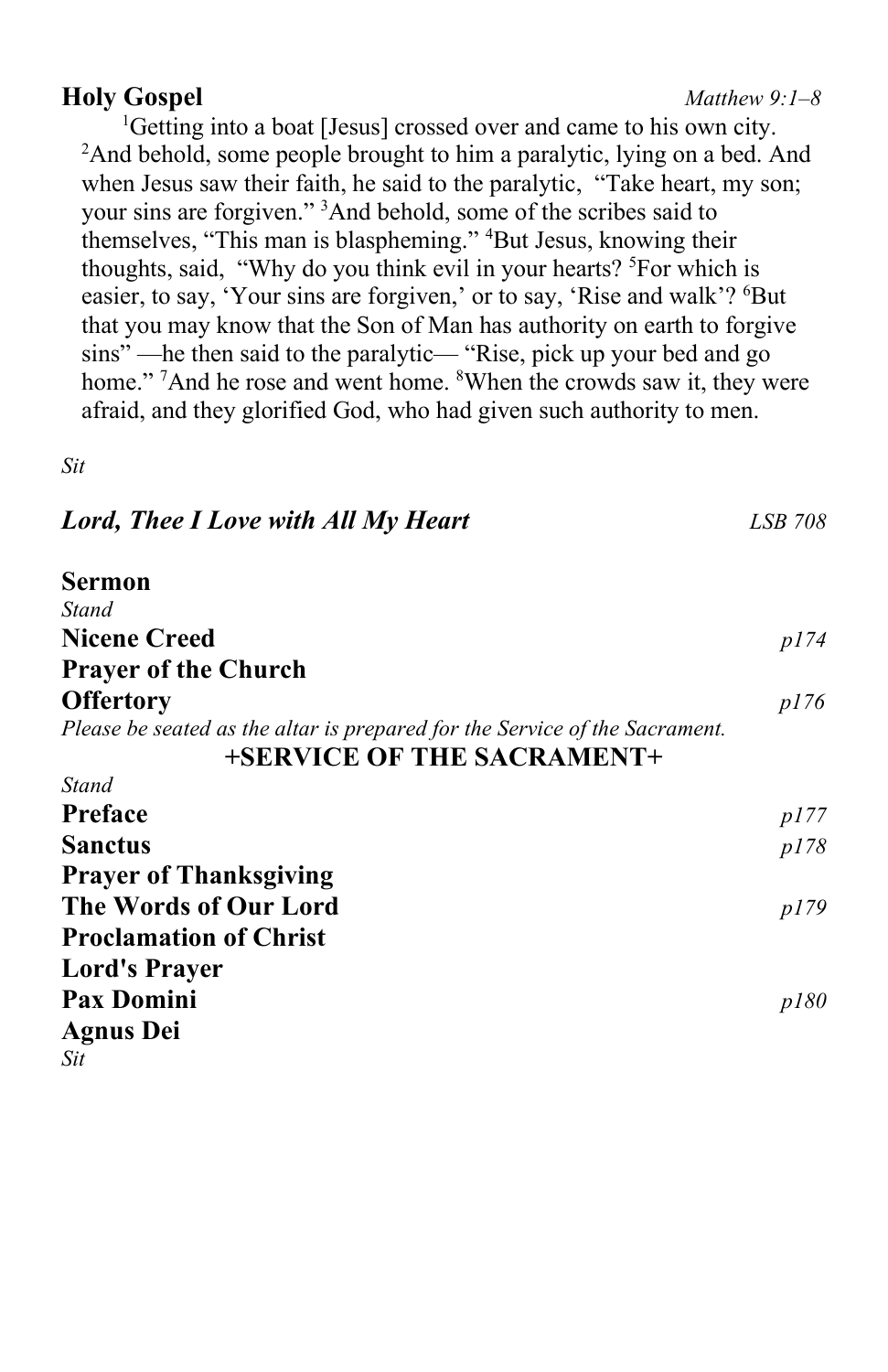## **Holy Gospel** *Matthew 9:1–8* <sup>1</sup>Getting into a boat [Jesus] crossed over and came to his own city. <sup>2</sup>And behold, some people brought to him a paralytic, lying on a bed. And when Jesus saw their faith, he said to the paralytic, "Take heart, my son;

your sins are forgiven." <sup>3</sup>And behold, some of the scribes said to themselves, "This man is blaspheming." <sup>4</sup>But Jesus, knowing their thoughts, said, "Why do you think evil in your hearts? <sup>5</sup>For which is easier, to say, 'Your sins are forgiven,' or to say, 'Rise and walk'? <sup>6</sup>But that you may know that the Son of Man has authority on earth to forgive sins" —he then said to the paralytic— "Rise, pick up your bed and go home." <sup>7</sup>And he rose and went home. <sup>8</sup>When the crowds saw it, they were afraid, and they glorified God, who had given such authority to men.

*Sit*

| <b>Lord, Thee I Love with All My Heart</b>                                                                | <b>LSB 708</b> |
|-----------------------------------------------------------------------------------------------------------|----------------|
| Sermon                                                                                                    |                |
| Stand                                                                                                     |                |
| <b>Nicene Creed</b>                                                                                       | p/74           |
| <b>Prayer of the Church</b>                                                                               |                |
| <b>Offertory</b>                                                                                          | <i>p176</i>    |
| Please be seated as the altar is prepared for the Service of the Sacrament.<br>+SERVICE OF THE SACRAMENT+ |                |
| <b>Stand</b>                                                                                              |                |
| Preface                                                                                                   | p177           |
| <b>Sanctus</b>                                                                                            | p178           |
| <b>Prayer of Thanksgiving</b>                                                                             |                |
| The Words of Our Lord                                                                                     | p179           |
| <b>Proclamation of Christ</b>                                                                             |                |
| <b>Lord's Prayer</b>                                                                                      |                |
| <b>Pax Domini</b>                                                                                         | p180           |
| <b>Agnus Dei</b>                                                                                          |                |
| Sit                                                                                                       |                |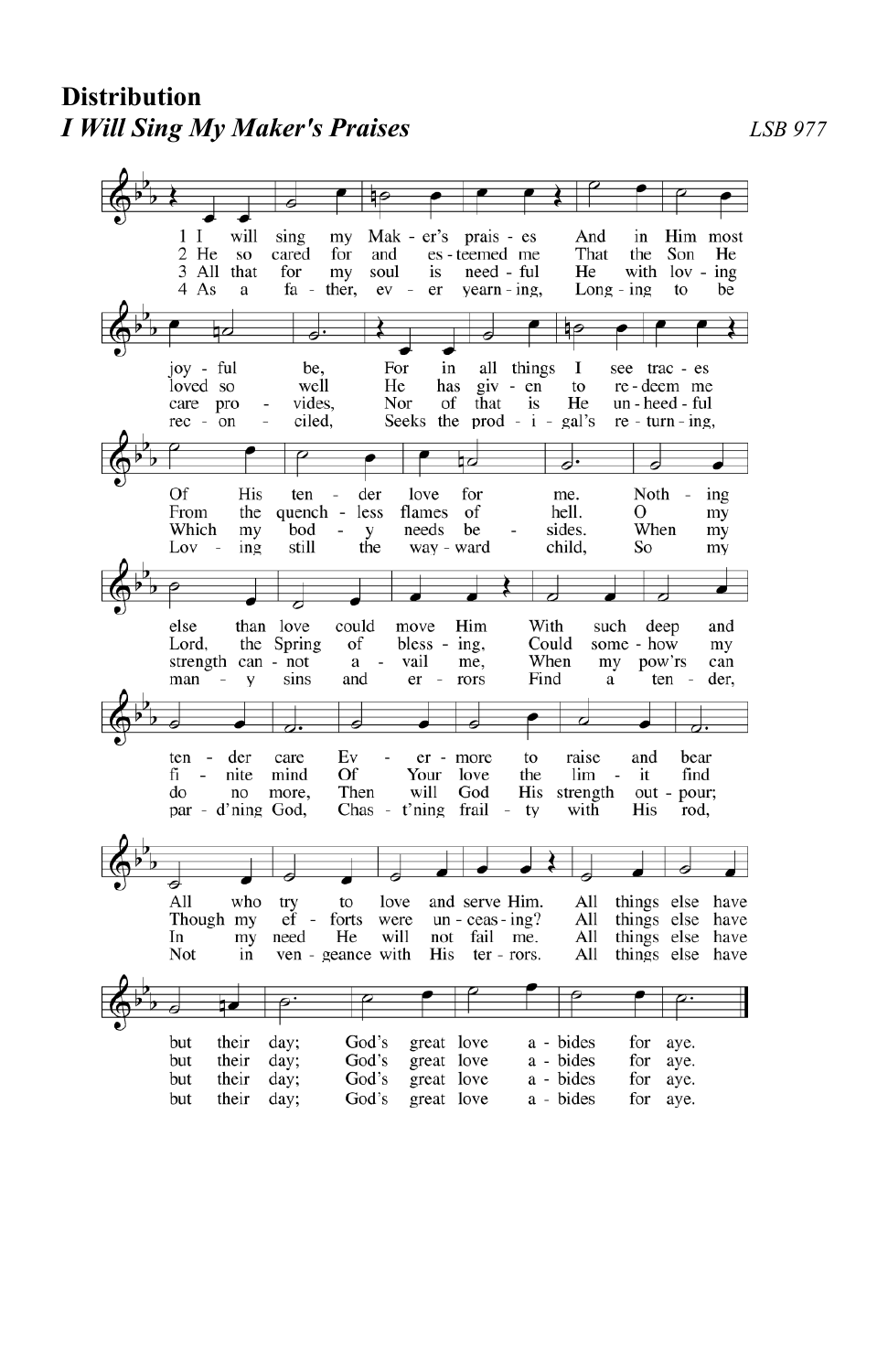## **Distribution** *I Will Sing My Maker's Praises LSB 977*

 $1<sub>l</sub>$ will sing my Mak - er's prais - es And in Him most cared 2 He **SO** for and es - teemed me That the Son He 3 All that for my soul is need - ful He with  $lov - ing$ 4 As a fa ther,  ${\rm ev}$  $\sim$ er yearn - ing,  $Long - ing$ to be ₩ joy - ful be, For in all things  $\bf{I}$ see trac - es loved so well He has  $giv - en$ to re-deem me care pro vides, Nor of that is He un - heed - ful rec - on ciled, Seeks the prod -  $i$  gal's  $re - turn - ing$ , ₽ d. 귱 Of His ten der love for Noth ing me. From the quench less flames of hell. О my sides. When Which my bod needs be my y the child, still way - ward So Lov ing my ä than love could Him With else move such deep and Lord. the Spring of bless - ing, Could some -  $how$ my strength can - not  $\rm{a}$ vail me, When my pow'rs can man sins and  $\rm er$ rors Find ten der,  $\rm{a}$ V  $\overline{\phantom{a}}$  $\overline{\phantom{a}}$ ಶ ₹ ठ Ā ♂. ten der care Ev er - more to raise and bear mind Of  $fi$ nite Your love the lim it find Then will His strength do  $\mathop{\mathrm{no}}$ more, God out - pour; par - d'ning God, Chas - t'ning frail with His  $-$ ty rod,  $\overline{\phantom{a}}$ a All who and serve Him.  $A11$ things else try to love have Though my  $ef$ forts were  $un - ceas - ing?$ All things else have In my need He will not fail me. All things else have Not in ven - geance with His ter - rors. All things else have ₽  $\overline{a}$  $\overline{\mathcal{P}}$ .  $\overline{\rho}$ . day; God's great love a - bides but their for aye. but their day; God's great love a - bides for aye. but their day; God's great love a - bides for aye. but their day; God's great love a - bides for aye.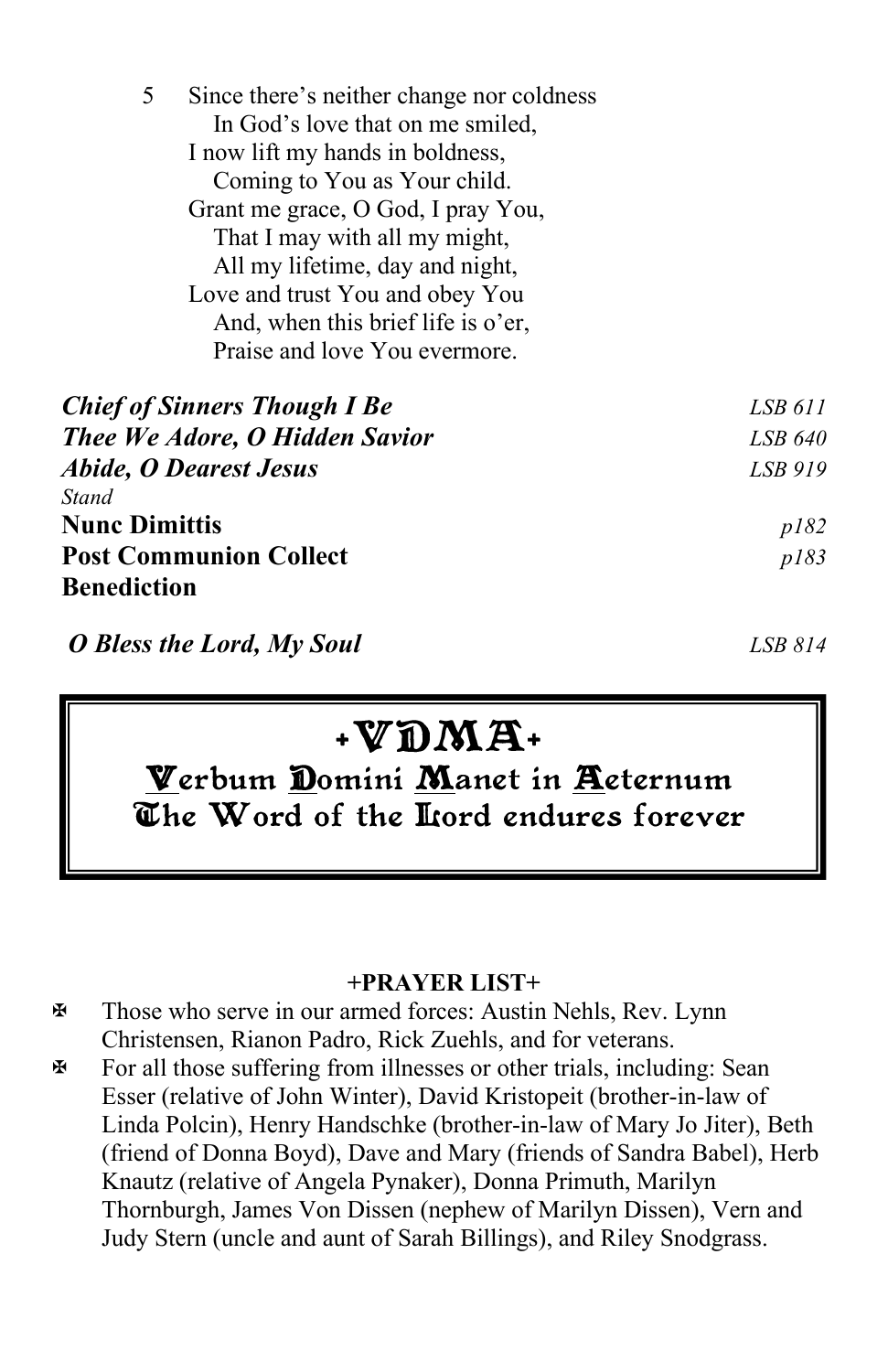| 5<br>Since there's neither change nor coldness                     |                                     |         |  |  |  |
|--------------------------------------------------------------------|-------------------------------------|---------|--|--|--|
|                                                                    | In God's love that on me smiled,    |         |  |  |  |
|                                                                    |                                     |         |  |  |  |
|                                                                    |                                     |         |  |  |  |
|                                                                    |                                     |         |  |  |  |
|                                                                    | That I may with all my might,       |         |  |  |  |
|                                                                    |                                     |         |  |  |  |
| All my lifetime, day and night,<br>Love and trust You and obey You |                                     |         |  |  |  |
|                                                                    | And, when this brief life is o'er,  |         |  |  |  |
|                                                                    | Praise and love You evermore.       |         |  |  |  |
|                                                                    | <b>Chief of Sinners Though I Be</b> | LSB 611 |  |  |  |
| Thee We Adore, O Hidden Savior                                     | LSB 640                             |         |  |  |  |
| <b>Abide, O Dearest Jesus</b>                                      | LSB 919                             |         |  |  |  |
| Stand                                                              |                                     |         |  |  |  |
| <b>Nunc Dimittis</b>                                               |                                     | p182    |  |  |  |
| <b>Post Communion Collect</b>                                      | p183                                |         |  |  |  |
| <b>Benediction</b>                                                 |                                     |         |  |  |  |

*O Bless the Lord, My Soul LSB 814*

# $\mathbf{W}$ DMA+

Verbum Domini Manet in Acternum The Word of the liord endures forever

#### **+PRAYER LIST+**

 Those who serve in our armed forces: Austin Nehls, Rev. Lynn Christensen, Rianon Padro, Rick Zuehls, and for veterans.

 $\mathbb F$  For all those suffering from illnesses or other trials, including: Sean Esser (relative of John Winter), David Kristopeit (brother-in-law of Linda Polcin), Henry Handschke (brother-in-law of Mary Jo Jiter), Beth (friend of Donna Boyd), Dave and Mary (friends of Sandra Babel), Herb Knautz (relative of Angela Pynaker), Donna Primuth, Marilyn Thornburgh, James Von Dissen (nephew of Marilyn Dissen), Vern and Judy Stern (uncle and aunt of Sarah Billings), and Riley Snodgrass.